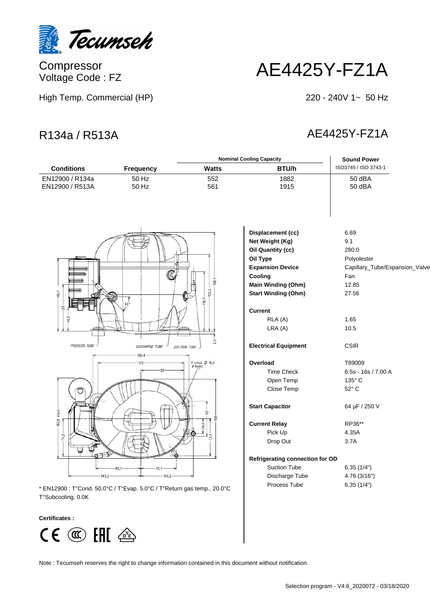

Compressor Voltage Code : FZ

## AE4425Y-FZ1A

High Temp. Commercial (HP)

## 220 - 240V 1~ 50 Hz

## R134a / R513A AE4425Y-FZ1A

|                   |                                                                     |                           | <b>Nominal Cooling Capacity</b>        | <b>Sound Power</b>             |  |  |
|-------------------|---------------------------------------------------------------------|---------------------------|----------------------------------------|--------------------------------|--|--|
| <b>Conditions</b> | <b>Frequency</b>                                                    | <b>Watts</b>              | BTU/h                                  | ISO3745 / ISO 3743-1           |  |  |
| EN12900 / R134a   | 50 Hz                                                               | 552                       | 1882                                   | 50 dBA                         |  |  |
| EN12900 / R513A   | 50 Hz                                                               | 561                       | 1915                                   | 50 dBA                         |  |  |
|                   |                                                                     |                           |                                        |                                |  |  |
|                   |                                                                     |                           | Displacement (cc)                      | 6.69                           |  |  |
|                   |                                                                     |                           | Net Weight (Kg)                        | 9.1                            |  |  |
|                   |                                                                     |                           | Oil Quantity (cc)                      | 280.0                          |  |  |
|                   |                                                                     |                           | Oil Type                               | Polyolester                    |  |  |
|                   |                                                                     |                           | <b>Expansion Device</b>                | Capillary_Tube/Expansion_Valve |  |  |
|                   |                                                                     |                           | Cooling                                | Fan                            |  |  |
|                   |                                                                     | 196,                      | Main Winding (Ohm)                     | 12.85                          |  |  |
| $145.1 -$         | $\frac{1}{45}$                                                      | 152,5<br>118,7            | <b>Start Winding (Ohm)</b>             | 27.56                          |  |  |
| S                 |                                                                     |                           | <b>Current</b>                         |                                |  |  |
| 46,9              |                                                                     |                           | RLA (A)                                | 1.65                           |  |  |
|                   |                                                                     |                           | LRA (A)                                | 10.5                           |  |  |
| PROCESS TUBE      | DISCHARGE TUBE                                                      | 5,5<br>SUCTION TUBE       | <b>Electrical Equipment</b>            | <b>CSIR</b>                    |  |  |
|                   | 190,4                                                               | 4 trous Ø 16,5<br>4 holes | Overload                               | T89009                         |  |  |
|                   |                                                                     |                           | <b>Time Check</b>                      | 6.5s - 16s / 7.00 A            |  |  |
|                   |                                                                     |                           | Open Temp                              | 135° C                         |  |  |
|                   |                                                                     |                           | Close Temp                             | 52° C                          |  |  |
|                   |                                                                     | 2                         | <b>Start Capacitor</b>                 | 64 µF / 250 V                  |  |  |
| $160,5$ maxi      |                                                                     | $29,4 \Rightarrow$        | <b>Current Relay</b>                   | RP36**                         |  |  |
|                   |                                                                     |                           | Pick Up                                | 4.35A                          |  |  |
| 74,6              |                                                                     | 73.8                      | Drop Out                               | 3.7A                           |  |  |
|                   |                                                                     |                           | <b>Refrigerating connection for OD</b> |                                |  |  |
|                   | 89.<br>70,                                                          |                           | <b>Suction Tube</b>                    | 6.35(1/4")                     |  |  |
| 143,2             | 103,9                                                               |                           | Discharge Tube                         | 4.76 (3/16")                   |  |  |
|                   | EN12900 : T°Cond. 50.0°C / T°Evap. 5.0°C / T°Return gas temp 20.0°C |                           | Process Tube                           | 6.35(1/4")                     |  |  |

T°Subcooling. 0.0K

## **Certificates :**



Note : Tecumseh reserves the right to change information contained in this document without notification.